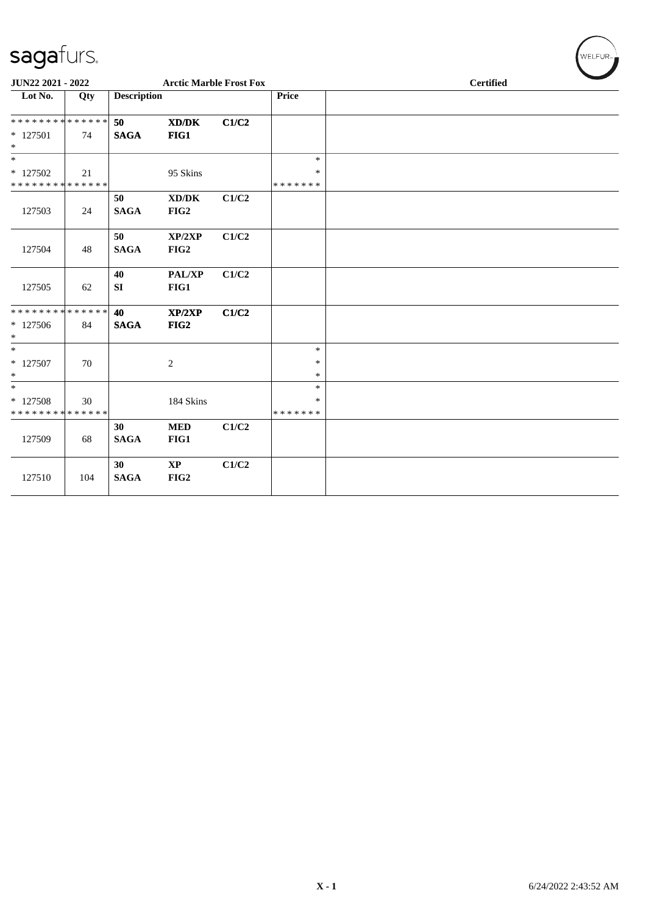| sagafurs.                                          |     |                    |                                                     |       |                                   | WELFUR-          |
|----------------------------------------------------|-----|--------------------|-----------------------------------------------------|-------|-----------------------------------|------------------|
| JUN22 2021 - 2022                                  |     |                    | <b>Arctic Marble Frost Fox</b>                      |       |                                   | <b>Certified</b> |
| Lot No.                                            | Qty | <b>Description</b> |                                                     |       | Price                             |                  |
| **************<br>$*127501$<br>$\ast$              | 74  | 50<br><b>SAGA</b>  | $\mathbf{X}\mathbf{D}/\mathbf{D}\mathbf{K}$<br>FIG1 | C1/C2 |                                   |                  |
| $\ast$<br>$*127502$<br>* * * * * * * * * * * * * * | 21  |                    | 95 Skins                                            |       | $\ast$<br>$\ast$<br>*******       |                  |
| 127503                                             | 24  | 50<br><b>SAGA</b>  | XD/DK<br>FIG2                                       | C1/C2 |                                   |                  |
| 127504                                             | 48  | 50<br><b>SAGA</b>  | XP/2XP<br>FIG2                                      | C1/C2 |                                   |                  |
| 127505                                             | 62  | 40<br>SI           | PAL/XP<br>FIG1                                      | C1/C2 |                                   |                  |
| **************<br>$*127506$<br>$\ast$              | 84  | 40<br><b>SAGA</b>  | XP/2XP<br>FIG2                                      | C1/C2 |                                   |                  |
| $\ast$<br>$* 127507$<br>$\ast$                     | 70  |                    | $\overline{c}$                                      |       | $\ast$<br>$\ast$<br>$\ast$        |                  |
| $\ast$<br>* 127508<br>* * * * * * * * * * * * * *  | 30  |                    | 184 Skins                                           |       | $\ast$<br>$\ast$<br>* * * * * * * |                  |
| 127509                                             | 68  | 30<br><b>SAGA</b>  | <b>MED</b><br>FIG1                                  | C1/C2 |                                   |                  |
| 127510                                             | 104 | 30<br><b>SAGA</b>  | $\mathbf{XP}$<br>FIG2                               | C1/C2 |                                   |                  |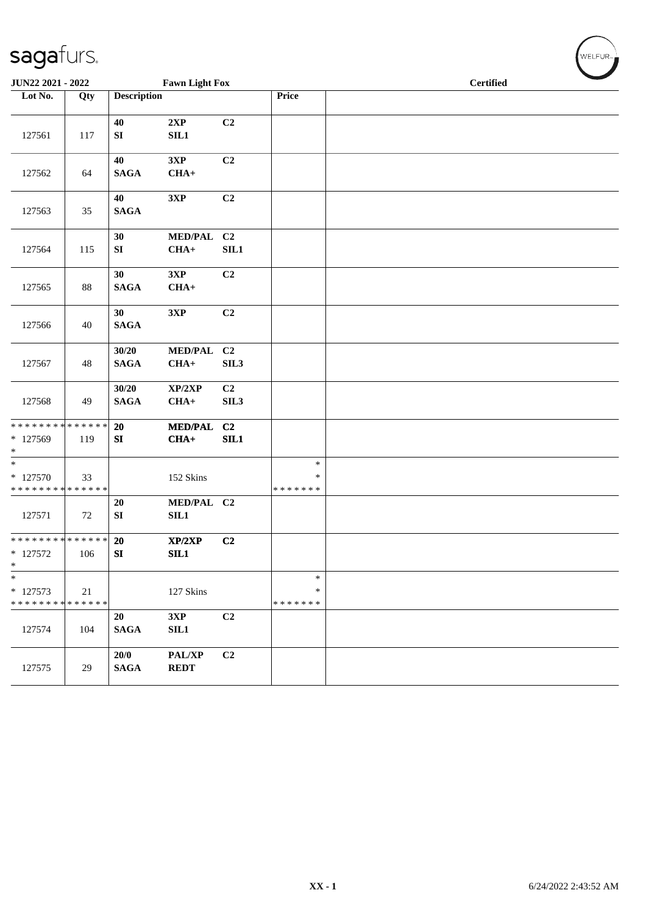| JUN22 2021 - 2022                                                    |     |                        | <b>Fawn Light Fox</b>    |                                    |                              | <b>Certified</b> |  |  |  |
|----------------------------------------------------------------------|-----|------------------------|--------------------------|------------------------------------|------------------------------|------------------|--|--|--|
| Lot No.                                                              | Qty | <b>Description</b>     |                          |                                    | Price                        |                  |  |  |  |
| 127561                                                               | 117 | 40<br>${\bf SI}$       | 2XP<br>SL1               | C2                                 |                              |                  |  |  |  |
| 127562                                                               | 64  | 40<br><b>SAGA</b>      | 3XP<br>$CHA+$            | C2                                 |                              |                  |  |  |  |
| 127563                                                               | 35  | 40<br><b>SAGA</b>      | 3XP                      | C2                                 |                              |                  |  |  |  |
| 127564                                                               | 115 | 30<br>SI               | MED/PAL C2<br>$CHA+$     | <b>SIL1</b>                        |                              |                  |  |  |  |
| 127565                                                               | 88  | 30<br><b>SAGA</b>      | 3XP<br>$CHA+$            | C2                                 |                              |                  |  |  |  |
| 127566                                                               | 40  | 30<br><b>SAGA</b>      | 3XP                      | C <sub>2</sub>                     |                              |                  |  |  |  |
| 127567                                                               | 48  | 30/20<br><b>SAGA</b>   | <b>MED/PAL</b><br>$CHA+$ | C <sub>2</sub><br>SIL3             |                              |                  |  |  |  |
| 127568                                                               | 49  | 30/20<br><b>SAGA</b>   | XP/2XP<br>$CHA+$         | C <sub>2</sub><br>SIL <sub>3</sub> |                              |                  |  |  |  |
| ******** <mark>******</mark><br>* 127569<br>$*$                      | 119 | 20<br>${\bf SI}$       | <b>MED/PAL</b><br>$CHA+$ | C <sub>2</sub><br>SL1              |                              |                  |  |  |  |
| $\overline{\phantom{0}}$<br>$*127570$<br>* * * * * * * * * * * * * * | 33  |                        | 152 Skins                |                                    | $\ast$<br>∗<br>* * * * * * * |                  |  |  |  |
| 127571                                                               | 72  | 20<br>SI               | MED/PAL C2<br>SIL1       |                                    |                              |                  |  |  |  |
| ******** <mark>******</mark><br>* 127572<br>$\ast$                   | 106 | 20<br>${\bf S}{\bf I}$ | XP/2XP<br>SL1            | C2                                 |                              |                  |  |  |  |
| $\ast$<br>* 127573<br>* * * * * * * * * * * * * *                    | 21  |                        | 127 Skins                |                                    | $\ast$<br>∗<br>* * * * * * * |                  |  |  |  |
| 127574                                                               | 104 | 20<br><b>SAGA</b>      | 3XP<br>SIL1              | C2                                 |                              |                  |  |  |  |
| 127575                                                               | 29  | 20/0<br><b>SAGA</b>    | PAL/XP<br><b>REDT</b>    | C <sub>2</sub>                     |                              |                  |  |  |  |

 $\left(\bigvee_{w \in \text{LFUR}_w}$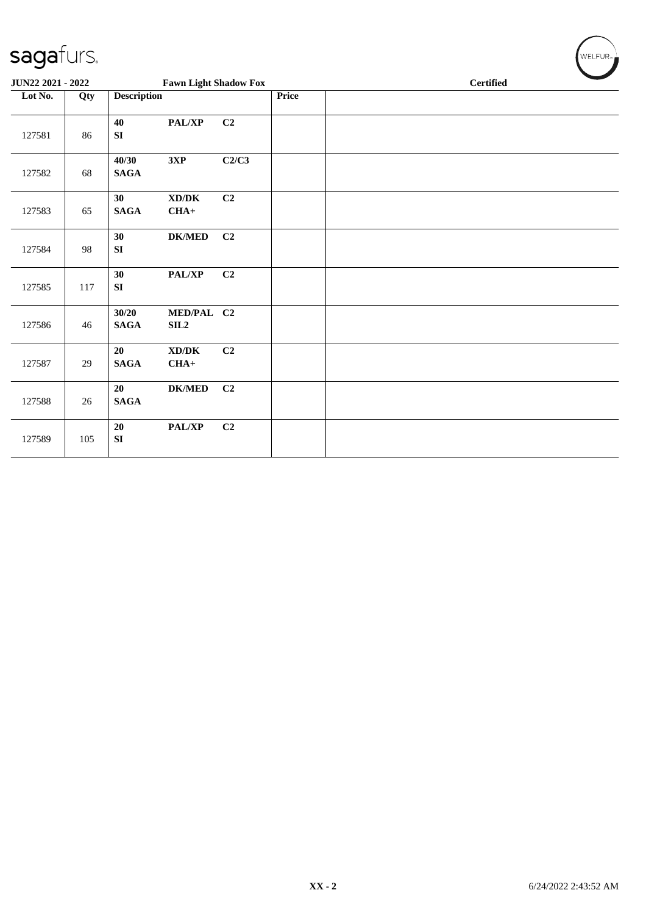| sagafurs.         |     |                      |                                               |                |       | WELFUR <sub>74</sub> |
|-------------------|-----|----------------------|-----------------------------------------------|----------------|-------|----------------------|
| JUN22 2021 - 2022 |     |                      | <b>Fawn Light Shadow Fox</b>                  |                |       | <b>Certified</b>     |
| Lot No.           | Qty | <b>Description</b>   |                                               |                | Price |                      |
| 127581            | 86  | 40<br>SI             | PAL/XP                                        | C <sub>2</sub> |       |                      |
| 127582            | 68  | 40/30<br><b>SAGA</b> | 3XP                                           | C2/C3          |       |                      |
| 127583            | 65  | 30<br><b>SAGA</b>    | $\bold{X}\bold{D}/\bold{D}\bold{K}$<br>$CHA+$ | C2             |       |                      |
| 127584            | 98  | 30<br>SI             | <b>DK/MED</b>                                 | C <sub>2</sub> |       |                      |
| 127585            | 117 | 30<br>${\bf SI}$     | PAL/XP                                        | C <sub>2</sub> |       |                      |
| 127586            | 46  | 30/20<br><b>SAGA</b> | MED/PAL C2<br>SL2                             |                |       |                      |
| 127587            | 29  | 20<br><b>SAGA</b>    | XD/DK<br>$CHA+$                               | C <sub>2</sub> |       |                      |
| 127588            | 26  | 20<br><b>SAGA</b>    | <b>DK/MED</b>                                 | C <sub>2</sub> |       |                      |
| 127589            | 105 | $20\,$<br>SI         | PAL/XP                                        | C <sub>2</sub> |       |                      |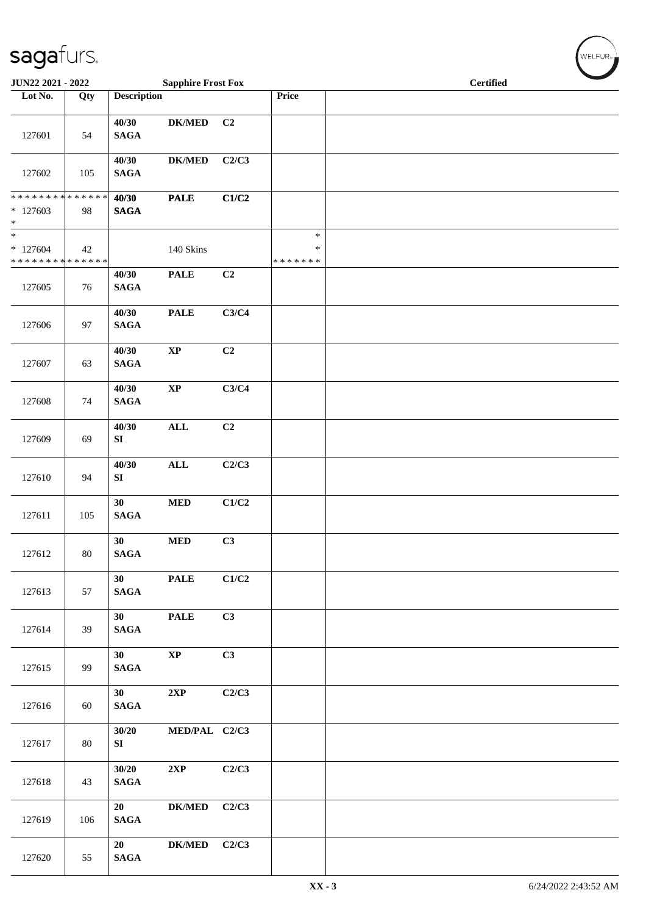| JUN22 2021 - 2022                               |     |                                    | <b>Sapphire Frost Fox</b> |                |                             | <b>Certified</b> |
|-------------------------------------------------|-----|------------------------------------|---------------------------|----------------|-----------------------------|------------------|
| Lot No.                                         | Qty | <b>Description</b>                 |                           |                | Price                       |                  |
| 127601                                          | 54  | 40/30<br><b>SAGA</b>               | <b>DK/MED</b>             | C <sub>2</sub> |                             |                  |
| 127602                                          | 105 | 40/30<br><b>SAGA</b>               | $DK/MED$                  | C2/C3          |                             |                  |
| * * * * * * * * * * * * * *<br>$*127603$<br>$*$ | 98  | 40/30<br><b>SAGA</b>               | <b>PALE</b>               | C1/C2          |                             |                  |
| $*$<br>$*127604$<br>* * * * * * * * * * * * * * | 42  |                                    | 140 Skins                 |                | $\ast$<br>$\ast$<br>******* |                  |
| 127605                                          | 76  | 40/30<br><b>SAGA</b>               | <b>PALE</b>               | C2             |                             |                  |
| 127606                                          | 97  | 40/30<br><b>SAGA</b>               | <b>PALE</b>               | C3/C4          |                             |                  |
| 127607                                          | 63  | 40/30<br>$\mathbf{SAGA}$           | $\bold{XP}$               | C2             |                             |                  |
| 127608                                          | 74  | 40/30<br><b>SAGA</b>               | $\bold{XP}$               | C3/C4          |                             |                  |
| 127609                                          | 69  | 40/30<br>SI                        | $\mathbf{ALL}$            | C2             |                             |                  |
| 127610                                          | 94  | 40/30<br>SI                        | <b>ALL</b>                | C2/C3          |                             |                  |
| 127611                                          | 105 | 30<br>$\mathbf{SAGA}$              | <b>MED</b>                | C1/C2          |                             |                  |
| 127612                                          | 80  | 30<br><b>SAGA</b>                  | $\bf MED$                 | C3             |                             |                  |
| 127613                                          | 57  | 30 <sup>1</sup><br><b>SAGA</b>     | <b>PALE</b>               | C1/C2          |                             |                  |
| 127614                                          | 39  | 30 <sup>1</sup><br>$\mathbf{SAGA}$ | <b>PALE</b>               | C3             |                             |                  |
| 127615                                          | 99  | 30 <sup>1</sup><br>$\mathbf{SAGA}$ | $\bold{XP}$               | C3             |                             |                  |
| 127616                                          | 60  | 30 <sup>7</sup><br>$\mathbf{SAGA}$ | 2XP                       | C2/C3          |                             |                  |
| 127617                                          | 80  | 30/20<br>SI                        | MED/PAL C2/C3             |                |                             |                  |
| 127618                                          | 43  | 30/20<br>$\mathbf{SAGA}$           | 2XP                       | C2/C3          |                             |                  |
| 127619                                          | 106 | 20<br><b>SAGA</b>                  | ${\bf DK/MED}$            | C2/C3          |                             |                  |
| 127620                                          | 55  | 20<br><b>SAGA</b>                  | <b>DK/MED</b>             | C2/C3          |                             |                  |

WELFUR<sub>T</sub>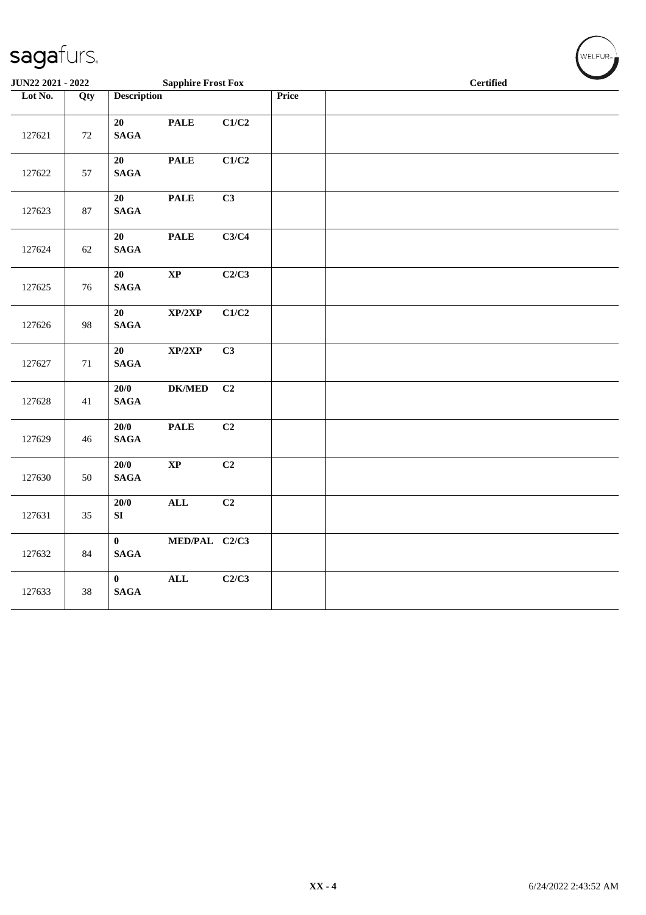| JUN22 2021 - 2022 |        |                                 | <b>Sapphire Frost Fox</b>  |       |       | <b>Certified</b> |  |  |
|-------------------|--------|---------------------------------|----------------------------|-------|-------|------------------|--|--|
| Lot No.           | Qty    | <b>Description</b>              |                            |       | Price |                  |  |  |
| 127621            | 72     | 20<br><b>SAGA</b>               | <b>PALE</b>                | C1/C2 |       |                  |  |  |
| 127622            | 57     | 20<br>$\mathbf{SAGA}$           | <b>PALE</b>                | C1/C2 |       |                  |  |  |
| 127623            | 87     | 20<br>$\mathbf{SAGA}$           | <b>PALE</b>                | C3    |       |                  |  |  |
| 127624            | 62     | 20<br>$\mathbf{SAGA}$           | <b>PALE</b>                | C3/C4 |       |                  |  |  |
| 127625            | $76\,$ | 20<br>$\mathbf{SAGA}$           | $\bold{XP}$                | C2/C3 |       |                  |  |  |
| 127626            | 98     | 20<br>$\mathbf{SAGA}$           | XP/2XP                     | C1/C2 |       |                  |  |  |
| 127627            | $71\,$ | 20<br>$\mathbf{SAGA}$           | $\mathbf{XP}/2\mathbf{XP}$ | C3    |       |                  |  |  |
| 127628            | 41     | 20/0<br>$\mathbf{SAGA}$         | ${\bf DK/MED}$             | C2    |       |                  |  |  |
| 127629            | 46     | 20/0<br>$\mathbf{SAGA}$         | <b>PALE</b>                | C2    |       |                  |  |  |
| 127630            | 50     | 20/0<br><b>SAGA</b>             | $\bold{XP}$                | C2    |       |                  |  |  |
| 127631            | 35     | $20/0$<br>SI                    | ALL                        | C2    |       |                  |  |  |
| 127632            | 84     | $\mathbf{0}$<br>$\mathbf{SAGA}$ | MED/PAL C2/C3              |       |       |                  |  |  |
| 127633            | $38\,$ | $\mathbf{0}$<br>$\mathbf{SAGA}$ | $\mathbf{ALL}$             | C2/C3 |       |                  |  |  |

 $(\bigvee_{w \in \text{LFUR}_w})$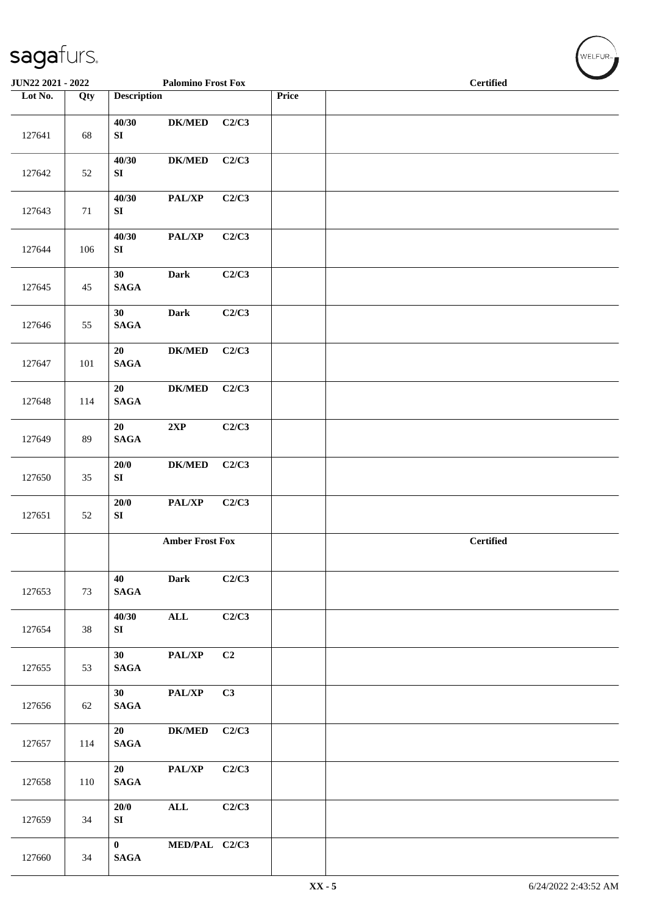| $\tilde{\phantom{a}}$ |     |                                    |                           |       |       |                  |
|-----------------------|-----|------------------------------------|---------------------------|-------|-------|------------------|
| JUN22 2021 - 2022     |     |                                    | <b>Palomino Frost Fox</b> |       |       | <b>Certified</b> |
| Lot No.               | Qty | <b>Description</b>                 |                           |       | Price |                  |
| 127641                | 68  | 40/30<br>SI                        | <b>DK/MED</b>             | C2/C3 |       |                  |
| 127642                | 52  | 40/30<br>SI                        | ${\bf DK/MED}$            | C2/C3 |       |                  |
| 127643                | 71  | 40/30<br>SI                        | PAL/XP                    | C2/C3 |       |                  |
| 127644                | 106 | 40/30<br>${\bf S}{\bf I}$          | PAL/XP                    | C2/C3 |       |                  |
| 127645                | 45  | 30<br>$\mathbf{SAGA}$              | Dark                      | C2/C3 |       |                  |
| 127646                | 55  | 30<br>$\mathbf{SAGA}$              | <b>Dark</b>               | C2/C3 |       |                  |
| 127647                | 101 | 20<br>$\mathbf{SAGA}$              | ${\bf DK/MED}$            | C2/C3 |       |                  |
| 127648                | 114 | 20<br>$\mathbf{SAGA}$              | $DK/MED$                  | C2/C3 |       |                  |
| 127649                | 89  | 20<br><b>SAGA</b>                  | 2XP                       | C2/C3 |       |                  |
| 127650                | 35  | $20/0$<br>SI                       | ${\bf DK/MED}$            | C2/C3 |       |                  |
| 127651                | 52  | $20/0$<br>${\bf S}{\bf I}$         | PAL/XP                    | C2/C3 |       |                  |
|                       |     |                                    | <b>Amber Frost Fox</b>    |       |       | <b>Certified</b> |
| 127653                | 73  | 40<br><b>SAGA</b>                  | <b>Dark</b>               | C2/C3 |       |                  |
| 127654                | 38  | 40/30<br>SI                        | $\mathbf{ALL}$            | C2/C3 |       |                  |
| 127655                | 53  | 30 <sup>1</sup><br><b>SAGA</b>     | PAL/XP                    | C2    |       |                  |
| 127656                | 62  | 30 <sup>1</sup><br>$\mathbf{SAGA}$ | PAL/XP                    | C3    |       |                  |
| 127657                | 114 | 20<br><b>SAGA</b>                  | <b>DK/MED</b>             | C2/C3 |       |                  |
| 127658                | 110 | 20<br><b>SAGA</b>                  | PAL/XP                    | C2/C3 |       |                  |
| 127659                | 34  | 20/0<br>SI                         | $\mathbf{ALL}$            | C2/C3 |       |                  |
| 127660                | 34  | $\mathbf{0}$<br><b>SAGA</b>        | MED/PAL C2/C3             |       |       |                  |

WELFUR<sub>"</sub>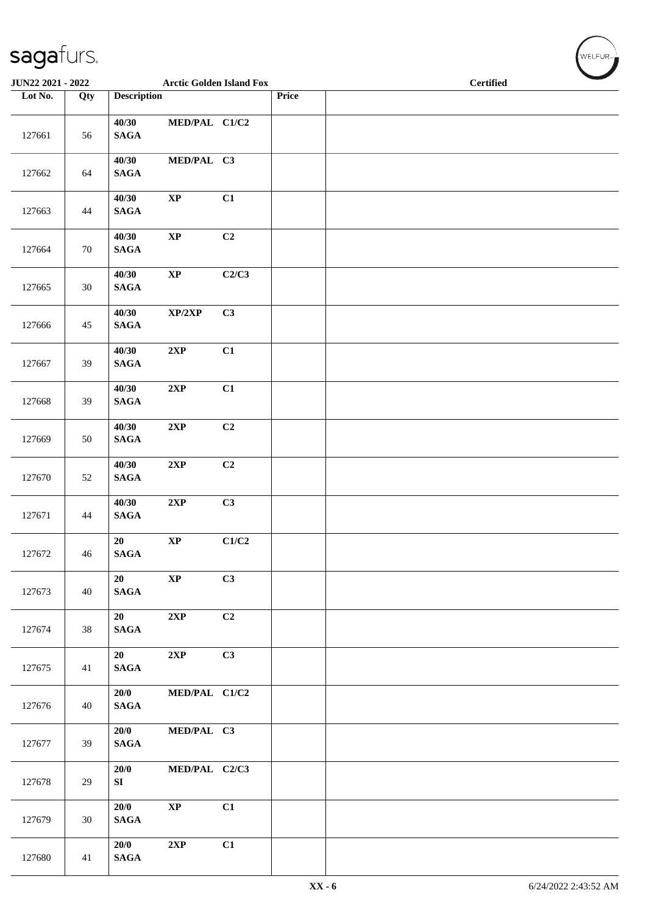| $\overline{\phantom{a}}$ |        |                          |                                 |       |       |                  |
|--------------------------|--------|--------------------------|---------------------------------|-------|-------|------------------|
| JUN22 2021 - 2022        |        |                          | <b>Arctic Golden Island Fox</b> |       |       | <b>Certified</b> |
| Lot No.                  | Qty    | <b>Description</b>       |                                 |       | Price |                  |
| 127661                   | 56     | 40/30<br><b>SAGA</b>     | MED/PAL C1/C2                   |       |       |                  |
| 127662                   | 64     | 40/30<br><b>SAGA</b>     | MED/PAL C3                      |       |       |                  |
| 127663                   | 44     | 40/30<br><b>SAGA</b>     | $\bold{XP}$                     | C1    |       |                  |
| 127664                   | $70\,$ | 40/30<br><b>SAGA</b>     | $\bold{XP}$                     | C2    |       |                  |
| 127665                   | $30\,$ | 40/30<br>$\mathbf{SAGA}$ | $\bold{XP}$                     | C2/C3 |       |                  |
| 127666                   | 45     | 40/30<br>$\mathbf{SAGA}$ | XP/2XP                          | C3    |       |                  |
| 127667                   | 39     | 40/30<br>$\mathbf{SAGA}$ | 2XP                             | C1    |       |                  |
| 127668                   | 39     | 40/30<br>$\mathbf{SAGA}$ | 2XP                             | C1    |       |                  |
| 127669                   | 50     | 40/30<br>$\mathbf{SAGA}$ | 2XP                             | C2    |       |                  |
| 127670                   | 52     | 40/30<br>$\mathbf{SAGA}$ | $2{\bf XP}$                     | C2    |       |                  |
| 127671                   | 44     | 40/30<br>$\mathbf{SAGA}$ | $2{\bf XP}$                     | C3    |       |                  |
| 127672                   | 46     | 20<br>$\mathbf{SAGA}$    | $\bold{XP}$                     | C1/C2 |       |                  |
| 127673                   | 40     | 20<br>$\mathbf{SAGA}$    | $\mathbf{XP}$                   | C3    |       |                  |
| 127674                   | 38     | 20<br>$\mathbf{SAGA}$    | 2XP                             | C2    |       |                  |
| 127675                   | 41     | 20<br><b>SAGA</b>        | 2XP                             | C3    |       |                  |
| 127676                   | 40     | 20/0<br><b>SAGA</b>      | MED/PAL C1/C2                   |       |       |                  |
| 127677                   | 39     | 20/0<br>$\mathbf{SAGA}$  | MED/PAL C3                      |       |       |                  |
| 127678                   | 29     | 20/0<br>SI               | MED/PAL C2/C3                   |       |       |                  |
| 127679                   | 30     | 20/0<br><b>SAGA</b>      | $\mathbf{X}\mathbf{P}$          | C1    |       |                  |
| 127680                   | 41     | 20/0<br>$\mathbf{SAGA}$  | 2XP                             | C1    |       |                  |

 $(\forall ELFUR_{\approx})$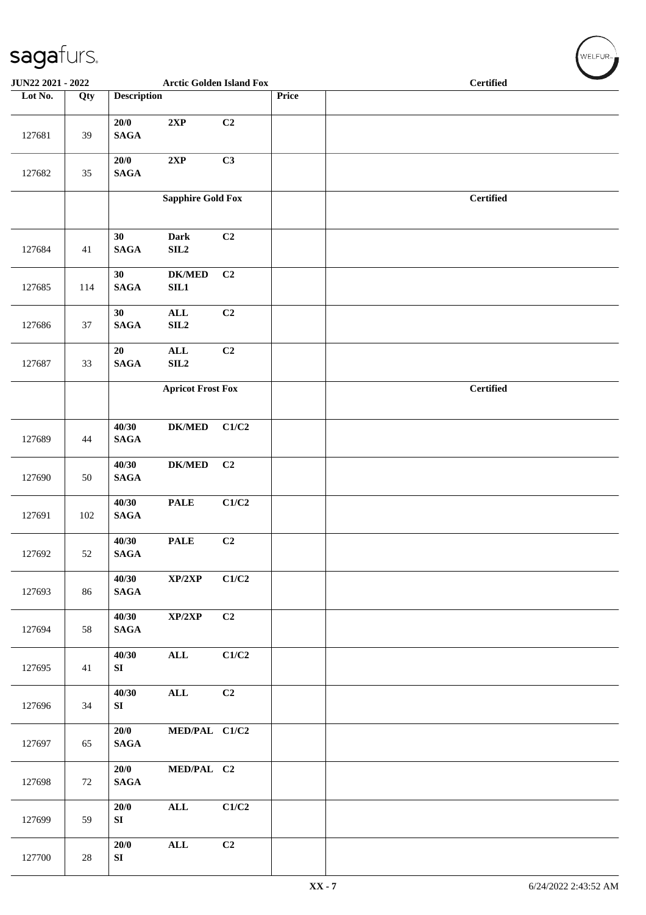#### sagafurs. ELFUR **JUN22 2021 - 2022 Arctic Golden Island Fox Certified Lot No. Qty Description Price 20/0 2XP C2** 127681 39 **SAGA 20/0 2XP C3** 127682 35 **SAGA Sapphire Gold Fox Certified 30 Dark C2** 127684 41 **SAGA 30 DK/MED C2 SAGA SIL1** 127685 114 **30 ALL C2** 127686 37 **SAGA SIL2 20 ALL C2** 127687 33 **SAGA SIL2 Apricot Frost Fox Certified 40/30 DK/MED C1/C2** 127689 44 **SAGA 40/30 DK/MED C2** 127690 50 **SAGA 40/30 PALE C1/C2** 127691 102 **SAGA 40/30 PALE C2 SAGA** 127692 52 **40/30 XP/2XP C1/C2** 127693 86 **SAGA 40/30 XP/2XP C2** 127694 58 **SAGA 40/30 ALL C1/C2** 127695 41 **SI 40/30 ALL C2** 127696 34 **SI 20/0 MED/PAL C1/C2** 127697 65 **SAGA 20/0 MED/PAL C2** 127698 72 **SAGA 20/0 ALL C1/C2** 127699 59 **SI 20/0 ALL C2** 127700 28 **SI**